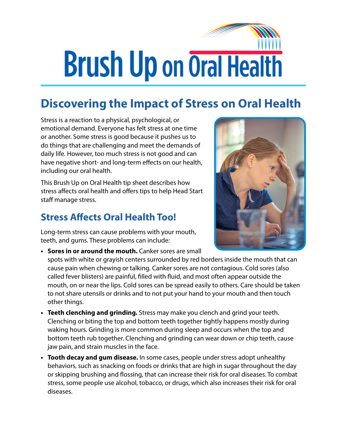## **Brush Up on Oral Health**

## **Discovering the Impact of Stress on Oral Health**

Stress is a reaction to a physical, psychological, or emotional demand. Everyone has felt stress at one time or another. Some stress is good because it pushes us to do things that are challenging and meet the demands of daily life. However, too much stress is not good and can have negative short- and long-term effects on our health, including our oral health.

This Brush Up on Oral Health tip sheet describes how stress affects oral health and offers tips to help Head Start staff manage stress.

## **Stress Affects Oral Health Too!**

Long-term stress can cause problems with your mouth, teeth, and gums. These problems can include:

**• Sores in or around the mouth.** Canker sores are small



spots with white or grayish centers surrounded by red borders inside the mouth that can cause pain when chewing or talking. Canker sores are not contagious. Cold sores (also called fever blisters) are painful, filled with fluid, and most often appear outside the mouth, on or near the lips. Cold sores can be spread easily to others. Care should be taken to not share utensils or drinks and to not put your hand to your mouth and then touch other things.

- **• Teeth clenching and grinding.** Stress may make you clench and grind your teeth. Clenching or biting the top and bottom teeth together tightly happens mostly during waking hours. Grinding is more common during sleep and occurs when the top and bottom teeth rub together. Clenching and grinding can wear down or chip teeth, cause jaw pain, and strain muscles in the face.
- **• Tooth decay and gum disease.** In some cases, people under stress adopt unhealthy behaviors, such as snacking on foods or drinks that are high in sugar throughout the day or skipping brushing and flossing, that can increase their risk for oral diseases. To combat stress, some people use alcohol, tobacco, or drugs, which also increases their risk for oral diseases.